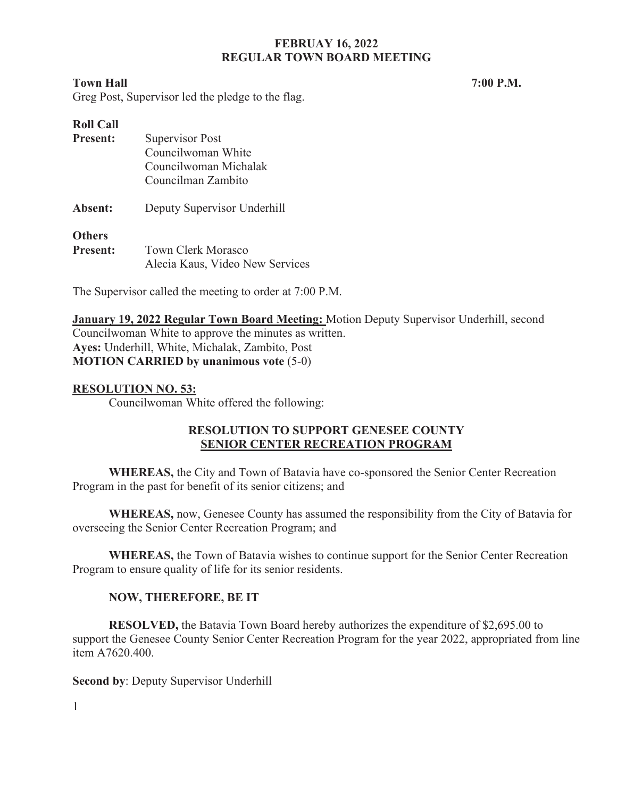#### **Town Hall 7:00 P.M.** *7*

Greg Post, Supervisor led the pledge to the flag.

| <b>Roll Call</b> |                                 |
|------------------|---------------------------------|
| <b>Present:</b>  | Supervisor Post                 |
|                  | Councilwoman White              |
|                  | Councilwoman Michalak           |
|                  | Councilman Zambito              |
| Absent:          | Deputy Supervisor Underhill     |
| <b>Others</b>    |                                 |
| <b>Present:</b>  | <b>Town Clerk Morasco</b>       |
|                  | Alecia Kaus, Video New Services |

The Supervisor called the meeting to order at 7:00 P.M.

**January 19, 2022 Regular Town Board Meeting:** Motion Deputy Supervisor Underhill, second Councilwoman White to approve the minutes as written. **Ayes:** Underhill, White, Michalak, Zambito, Post **MOTION CARRIED by unanimous vote** (5-0)

## **RESOLUTION NO. 53:**

Councilwoman White offered the following:

## **RESOLUTION TO SUPPORT GENESEE COUNTY SENIOR CENTER RECREATION PROGRAM**

**WHEREAS,** the City and Town of Batavia have co-sponsored the Senior Center Recreation Program in the past for benefit of its senior citizens; and

**WHEREAS,** now, Genesee County has assumed the responsibility from the City of Batavia for overseeing the Senior Center Recreation Program; and

**WHEREAS,** the Town of Batavia wishes to continue support for the Senior Center Recreation Program to ensure quality of life for its senior residents.

## **NOW, THEREFORE, BE IT**

**RESOLVED,** the Batavia Town Board hereby authorizes the expenditure of \$2,695.00 to support the Genesee County Senior Center Recreation Program for the year 2022, appropriated from line item A7620.400.

**Second by**: Deputy Supervisor Underhill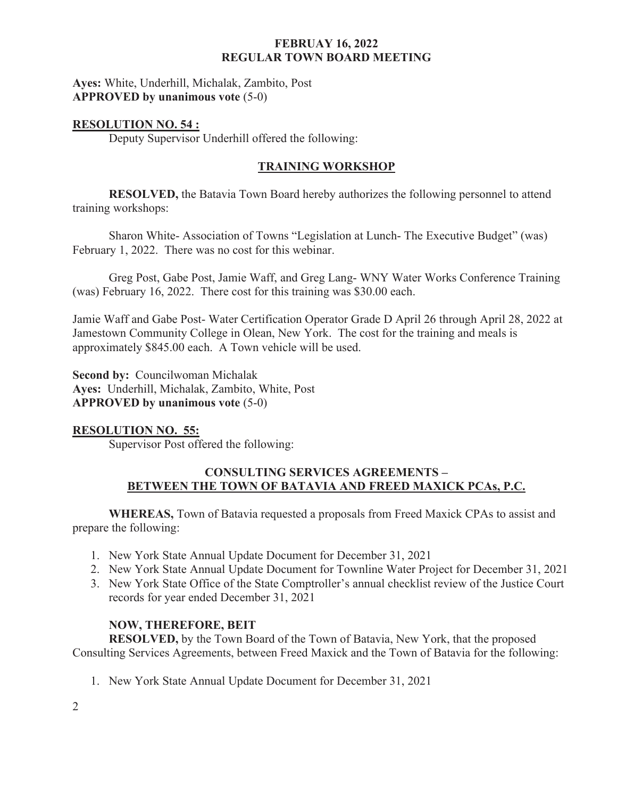**Ayes:** White, Underhill, Michalak, Zambito, Post **APPROVED by unanimous vote** (5-0)

## **RESOLUTION NO. 54 :**

Deputy Supervisor Underhill offered the following:

# **TRAINING WORKSHOP**

**RESOLVED,** the Batavia Town Board hereby authorizes the following personnel to attend training workshops:

Sharon White- Association of Towns "Legislation at Lunch- The Executive Budget" (was) February 1, 2022. There was no cost for this webinar.

Greg Post, Gabe Post, Jamie Waff, and Greg Lang- WNY Water Works Conference Training (was) February 16, 2022. There cost for this training was \$30.00 each.

Jamie Waff and Gabe Post- Water Certification Operator Grade D April 26 through April 28, 2022 at Jamestown Community College in Olean, New York. The cost for the training and meals is approximately \$845.00 each. A Town vehicle will be used.

**Second by:** Councilwoman Michalak **Ayes:** Underhill, Michalak, Zambito, White, Post **APPROVED by unanimous vote** (5-0)

## **RESOLUTION NO. 55:**

Supervisor Post offered the following:

## **CONSULTING SERVICES AGREEMENTS – BETWEEN THE TOWN OF BATAVIA AND FREED MAXICK PCAs, P.C.**

**WHEREAS,** Town of Batavia requested a proposals from Freed Maxick CPAs to assist and prepare the following:

- 1. New York State Annual Update Document for December 31, 2021
- 2. New York State Annual Update Document for Townline Water Project for December 31, 2021
- 3. New York State Office of the State Comptroller's annual checklist review of the Justice Court records for year ended December 31, 2021

# **NOW, THEREFORE, BEIT**

**RESOLVED,** by the Town Board of the Town of Batavia, New York, that the proposed Consulting Services Agreements, between Freed Maxick and the Town of Batavia for the following:

1. New York State Annual Update Document for December 31, 2021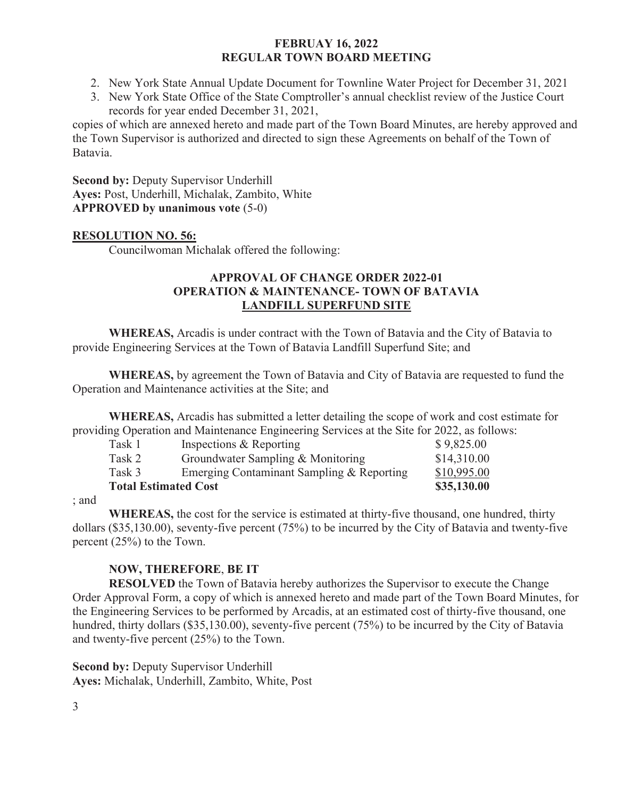- 2. New York State Annual Update Document for Townline Water Project for December 31, 2021
- 3. New York State Office of the State Comptroller's annual checklist review of the Justice Court records for year ended December 31, 2021,

copies of which are annexed hereto and made part of the Town Board Minutes, are hereby approved and the Town Supervisor is authorized and directed to sign these Agreements on behalf of the Town of Batavia.

**Second by: Deputy Supervisor Underhill Ayes:** Post, Underhill, Michalak, Zambito, White **APPROVED by unanimous vote** (5-0)

## **RESOLUTION NO. 56:**

Councilwoman Michalak offered the following:

# **APPROVAL OF CHANGE ORDER 2022-01 OPERATION & MAINTENANCE- TOWN OF BATAVIA LANDFILL SUPERFUND SITE**

**WHEREAS,** Arcadis is under contract with the Town of Batavia and the City of Batavia to provide Engineering Services at the Town of Batavia Landfill Superfund Site; and

**WHEREAS,** by agreement the Town of Batavia and City of Batavia are requested to fund the Operation and Maintenance activities at the Site; and

**WHEREAS,** Arcadis has submitted a letter detailing the scope of work and cost estimate for providing Operation and Maintenance Engineering Services at the Site for 2022, as follows:

| Task 1                      | Inspections & Reporting                   | \$9,825.00  |
|-----------------------------|-------------------------------------------|-------------|
| Task 2                      | Groundwater Sampling & Monitoring         | \$14,310.00 |
| Task 3                      | Emerging Contaminant Sampling & Reporting | \$10,995.00 |
| <b>Total Estimated Cost</b> |                                           | \$35,130.00 |

; and

**WHEREAS,** the cost for the service is estimated at thirty-five thousand, one hundred, thirty dollars (\$35,130.00), seventy-five percent (75%) to be incurred by the City of Batavia and twenty-five percent (25%) to the Town.

# **NOW, THEREFORE**, **BE IT**

**RESOLVED** the Town of Batavia hereby authorizes the Supervisor to execute the Change Order Approval Form, a copy of which is annexed hereto and made part of the Town Board Minutes, for the Engineering Services to be performed by Arcadis, at an estimated cost of thirty-five thousand, one hundred, thirty dollars (\$35,130.00), seventy-five percent (75%) to be incurred by the City of Batavia and twenty-five percent (25%) to the Town.

**Second by: Deputy Supervisor Underhill Ayes:** Michalak, Underhill, Zambito, White, Post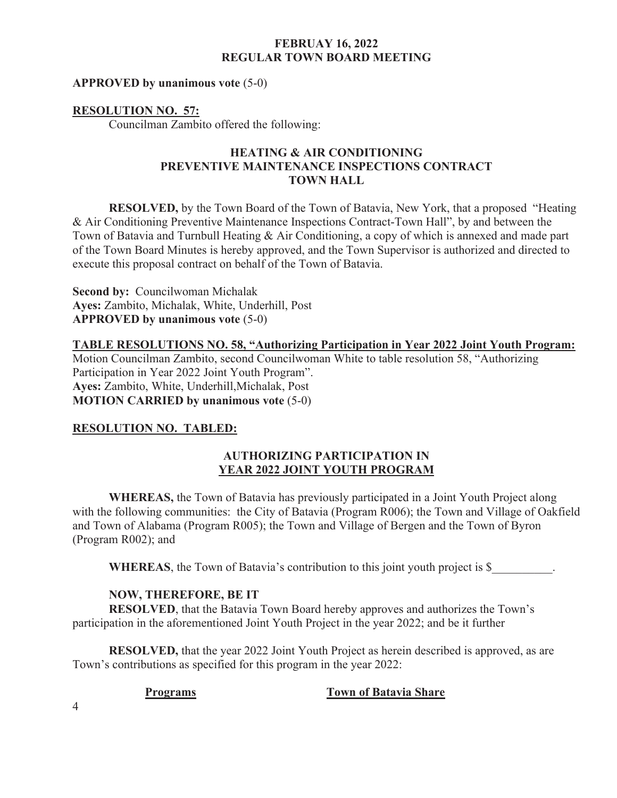#### **APPROVED by unanimous vote** (5-0)

#### **RESOLUTION NO. 57:**

Councilman Zambito offered the following:

## **HEATING & AIR CONDITIONING PREVENTIVE MAINTENANCE INSPECTIONS CONTRACT TOWN HALL**

 **RESOLVED,** by the Town Board of the Town of Batavia, New York, that a proposed "Heating & Air Conditioning Preventive Maintenance Inspections Contract-Town Hall", by and between the Town of Batavia and Turnbull Heating & Air Conditioning, a copy of which is annexed and made part of the Town Board Minutes is hereby approved, and the Town Supervisor is authorized and directed to execute this proposal contract on behalf of the Town of Batavia.

**Second by:** Councilwoman Michalak **Ayes:** Zambito, Michalak, White, Underhill, Post **APPROVED by unanimous vote** (5-0)

**TABLE RESOLUTIONS NO. 58, "Authorizing Participation in Year 2022 Joint Youth Program:**  Motion Councilman Zambito, second Councilwoman White to table resolution 58, "Authorizing Participation in Year 2022 Joint Youth Program". **Ayes:** Zambito, White, Underhill,Michalak, Post **MOTION CARRIED by unanimous vote** (5-0)

## **RESOLUTION NO. TABLED:**

## **AUTHORIZING PARTICIPATION IN YEAR 2022 JOINT YOUTH PROGRAM**

**WHEREAS,** the Town of Batavia has previously participated in a Joint Youth Project along with the following communities: the City of Batavia (Program R006); the Town and Village of Oakfield and Town of Alabama (Program R005); the Town and Village of Bergen and the Town of Byron (Program R002); and

**WHEREAS**, the Town of Batavia's contribution to this joint youth project is \$

## **NOW, THEREFORE, BE IT**

**RESOLVED**, that the Batavia Town Board hereby approves and authorizes the Town's participation in the aforementioned Joint Youth Project in the year 2022; and be it further

**RESOLVED,** that the year 2022 Joint Youth Project as herein described is approved, as are Town's contributions as specified for this program in the year 2022:

## **Programs Town of Batavia Share**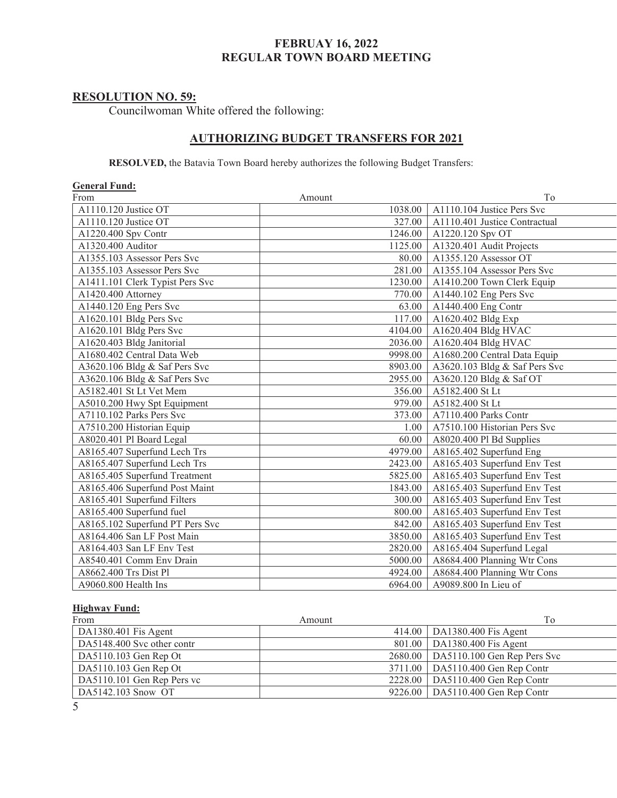# **RESOLUTION NO. 59:**

Councilwoman White offered the following:

## **AUTHORIZING BUDGET TRANSFERS FOR 2021**

 **RESOLVED,** the Batavia Town Board hereby authorizes the following Budget Transfers:

| <b>General Fund:</b>            |         |                               |
|---------------------------------|---------|-------------------------------|
| From                            | Amount  | To                            |
| A1110.120 Justice OT            | 1038.00 | A1110.104 Justice Pers Svc    |
| A1110.120 Justice OT            | 327.00  | A1110.401 Justice Contractual |
| A1220.400 Spv Contr             | 1246.00 | A1220.120 Spv OT              |
| A1320.400 Auditor               | 1125.00 | A1320.401 Audit Projects      |
| A1355.103 Assessor Pers Svc     | 80.00   | A1355.120 Assessor OT         |
| A1355.103 Assessor Pers Svc     | 281.00  | A1355.104 Assessor Pers Svc   |
| A1411.101 Clerk Typist Pers Svc | 1230.00 | A1410.200 Town Clerk Equip    |
| A1420.400 Attorney              | 770.00  | A1440.102 Eng Pers Svc        |
| A1440.120 Eng Pers Svc          | 63.00   | A1440.400 Eng Contr           |
| A1620.101 Bldg Pers Svc         | 117.00  | A1620.402 Bldg Exp            |
| A1620.101 Bldg Pers Svc         | 4104.00 | A1620.404 Bldg HVAC           |
| A1620.403 Bldg Janitorial       | 2036.00 | A1620.404 Bldg HVAC           |
| A1680.402 Central Data Web      | 9998.00 | A1680.200 Central Data Equip  |
| A3620.106 Bldg & Saf Pers Svc   | 8903.00 | A3620.103 Bldg & Saf Pers Svc |
| A3620.106 Bldg & Saf Pers Svc   | 2955.00 | A3620.120 Bldg & Saf OT       |
| A5182.401 St Lt Vet Mem         | 356.00  | A5182.400 St Lt               |
| A5010.200 Hwy Spt Equipment     | 979.00  | A5182.400 St Lt               |
| A7110.102 Parks Pers Svc        | 373.00  | A7110.400 Parks Contr         |
| A7510.200 Historian Equip       | 1.00    | A7510.100 Historian Pers Svc  |
| A8020.401 Pl Board Legal        | 60.00   | A8020.400 Pl Bd Supplies      |
| A8165.407 Superfund Lech Trs    | 4979.00 | A8165.402 Superfund Eng       |
| A8165.407 Superfund Lech Trs    | 2423.00 | A8165.403 Superfund Env Test  |
| A8165.405 Superfund Treatment   | 5825.00 | A8165.403 Superfund Env Test  |
| A8165.406 Superfund Post Maint  | 1843.00 | A8165.403 Superfund Env Test  |
| A8165.401 Superfund Filters     | 300.00  | A8165.403 Superfund Env Test  |
| A8165.400 Superfund fuel        | 800.00  | A8165.403 Superfund Env Test  |
| A8165.102 Superfund PT Pers Svc | 842.00  | A8165.403 Superfund Env Test  |
| A8164.406 San LF Post Main      | 3850.00 | A8165.403 Superfund Env Test  |
| A8164.403 San LF Env Test       | 2820.00 | A8165.404 Superfund Legal     |
| A8540.401 Comm Env Drain        | 5000.00 | A8684.400 Planning Wtr Cons   |
| A8662.400 Trs Dist Pl           | 4924.00 | A8684.400 Planning Wtr Cons   |
| A9060.800 Health Ins            | 6964.00 | A9089.800 In Lieu of          |

#### **Highway Fund:**

| From                       | Amount | To                                    |
|----------------------------|--------|---------------------------------------|
| DA1380.401 Fis Agent       |        | 414.00   DA1380.400 Fis Agent         |
| DA5148.400 Svc other contr |        | 801.00   DA1380.400 Fis Agent         |
| DA5110.103 Gen Rep Ot      |        | 2680.00   DA5110.100 Gen Rep Pers Svc |
| DA5110.103 Gen Rep Ot      |        | 3711.00   DA5110.400 Gen Rep Contr    |
| DA5110.101 Gen Rep Pers vc |        | 2228.00   DA5110.400 Gen Rep Contr    |
| DA5142.103 Snow OT         |        | 9226.00   DA5110.400 Gen Rep Contr    |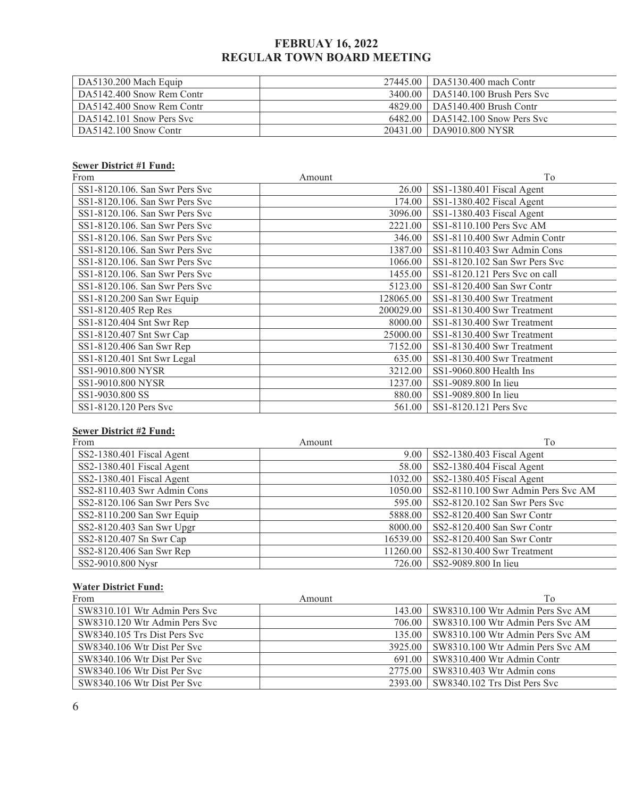| $\vert$ DA5130.200 Mach Equip |          | 27445.00   DA5130.400 mach Contr   |
|-------------------------------|----------|------------------------------------|
| DA5142.400 Snow Rem Contr     |          | 3400.00 DA5140.100 Brush Pers Svc  |
| DA5142.400 Snow Rem Contr     |          | 4829.00   DA5140.400 Brush Contr   |
| DA5142.101 Snow Pers Svc      |          | 6482.00   DA5142.100 Snow Pers Svc |
| $D_A5142.100$ Snow Contr      | 20431.00 | DA9010.800 NYSR                    |

#### **Sewer District #1 Fund:**

| From                           | Amount    | To                            |
|--------------------------------|-----------|-------------------------------|
| SS1-8120.106. San Swr Pers Svc | 26.00     | SS1-1380.401 Fiscal Agent     |
| SS1-8120.106. San Swr Pers Svc | 174.00    | SS1-1380.402 Fiscal Agent     |
| SS1-8120.106. San Swr Pers Svc | 3096.00   | SS1-1380.403 Fiscal Agent     |
| SS1-8120.106. San Swr Pers Svc | 2221.00   | SS1-8110.100 Pers Svc AM      |
| SS1-8120.106. San Swr Pers Svc | 346.00    | SS1-8110.400 Swr Admin Contr  |
| SS1-8120.106. San Swr Pers Svc | 1387.00   | SS1-8110.403 Swr Admin Cons   |
| SS1-8120.106. San Swr Pers Svc | 1066.00   | SS1-8120.102 San Swr Pers Svc |
| SS1-8120.106. San Swr Pers Svc | 1455.00   | SS1-8120.121 Pers Svc on call |
| SS1-8120.106. San Swr Pers Svc | 5123.00   | SS1-8120.400 San Swr Contr    |
| SS1-8120.200 San Swr Equip     | 128065.00 | SS1-8130.400 Swr Treatment    |
| SS1-8120.405 Rep Res           | 200029.00 | SS1-8130.400 Swr Treatment    |
| SS1-8120.404 Snt Swr Rep       | 8000.00   | SS1-8130.400 Swr Treatment    |
| SS1-8120.407 Snt Swr Cap       | 25000.00  | SS1-8130.400 Swr Treatment    |
| SS1-8120.406 San Swr Rep       | 7152.00   | SS1-8130.400 Swr Treatment    |
| SS1-8120.401 Snt Swr Legal     | 635.00    | SS1-8130.400 Swr Treatment    |
| SS1-9010.800 NYSR              | 3212.00   | $SS1-9060.800$ Health Ins     |
| SS1-9010.800 NYSR              | 1237.00   | SS1-9089.800 In lieu          |
| SS1-9030.800 SS                | 880.00    | SS1-9089.800 In lieu          |
| SS1-8120.120 Pers Svc          | 561.00    | SS1-8120.121 Pers Svc         |

#### **Sewer District #2 Fund:**

| From                          | Amount   | To                                 |
|-------------------------------|----------|------------------------------------|
| SS2-1380.401 Fiscal Agent     | 9.00     | SS2-1380.403 Fiscal Agent          |
| SS2-1380.401 Fiscal Agent     | 58.00    | SS2-1380.404 Fiscal Agent          |
| SS2-1380.401 Fiscal Agent     | 1032.00  | SS2-1380.405 Fiscal Agent          |
| SS2-8110.403 Swr Admin Cons   | 1050.00  | SS2-8110.100 Swr Admin Pers Svc AM |
| SS2-8120.106 San Swr Pers Svc | 595.00   | SS2-8120.102 San Swr Pers Svc      |
| SS2-8110.200 San Swr Equip    | 5888.00  | SS2-8120.400 San Swr Contr         |
| SS2-8120.403 San Swr Upgr     | 8000.00  | SS2-8120.400 San Swr Contr         |
| SS2-8120.407 Sn Swr Cap       | 16539.00 | SS2-8120.400 San Swr Contr         |
| SS2-8120.406 San Swr Rep      | 11260.00 | SS2-8130.400 Swr Treatment         |
| SS2-9010.800 Nysr             | 726.00   | SS2-9089.800 In lieu               |

## **Water District Fund:**

| From                          | Amount    | To                               |
|-------------------------------|-----------|----------------------------------|
| SW8310.101 Wtr Admin Pers Syc | 143.00    | SW8310.100 Wtr Admin Pers Syc AM |
| SW8310.120 Wtr Admin Pers Svc | 706.00    | SW8310.100 Wtr Admin Pers Svc AM |
| SW8340.105 Trs Dist Pers Svc  | 135.00    | SW8310.100 Wtr Admin Pers Svc AM |
| SW8340.106 Wtr Dist Per Svc   | $3925.00$ | SW8310.100 Wtr Admin Pers Svc AM |
| SW8340.106 Wtr Dist Per Syc   | 691.00    | SW8310.400 Wtr Admin Contr       |
| SW8340.106 Wtr Dist Per Svc   | 2775.00   | SW8310.403 Wtr Admin cons        |
| SW8340.106 Wtr Dist Per Svc   | 2393.00   | SW8340.102 Trs Dist Pers Svc     |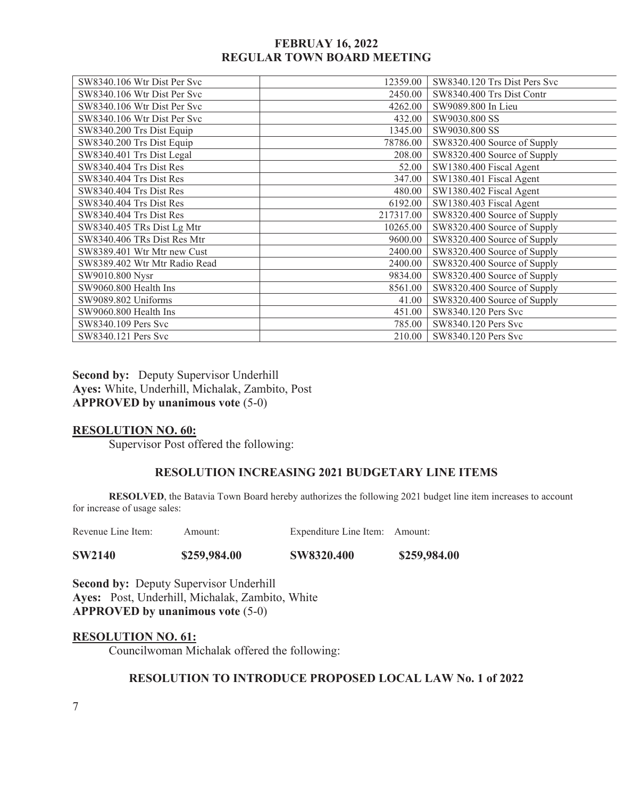| SW8340.106 Wtr Dist Per Svc   | 12359.00  | SW8340.120 Trs Dist Pers Svc |
|-------------------------------|-----------|------------------------------|
| SW8340.106 Wtr Dist Per Svc   | 2450.00   | SW8340.400 Trs Dist Contr    |
| SW8340.106 Wtr Dist Per Svc   | 4262.00   | SW9089.800 In Lieu           |
| SW8340.106 Wtr Dist Per Svc   | 432.00    | SW9030.800 SS                |
| SW8340.200 Trs Dist Equip     | 1345.00   | SW9030.800 SS                |
| SW8340.200 Trs Dist Equip     | 78786.00  | SW8320.400 Source of Supply  |
| SW8340.401 Trs Dist Legal     | 208.00    | SW8320.400 Source of Supply  |
| SW8340.404 Trs Dist Res       | 52.00     | SW1380.400 Fiscal Agent      |
| SW8340.404 Trs Dist Res       | 347.00    | SW1380.401 Fiscal Agent      |
| SW8340.404 Trs Dist Res       | 480.00    | SW1380.402 Fiscal Agent      |
| SW8340.404 Trs Dist Res       | 6192.00   | SW1380.403 Fiscal Agent      |
| SW8340.404 Trs Dist Res       | 217317.00 | SW8320.400 Source of Supply  |
| SW8340.405 TRs Dist Lg Mtr    | 10265.00  | SW8320.400 Source of Supply  |
| SW8340.406 TRs Dist Res Mtr   | 9600.00   | SW8320.400 Source of Supply  |
| SW8389.401 Wtr Mtr new Cust   | 2400.00   | SW8320.400 Source of Supply  |
| SW8389.402 Wtr Mtr Radio Read | 2400.00   | SW8320.400 Source of Supply  |
| SW9010.800 Nysr               | 9834.00   | SW8320.400 Source of Supply  |
| SW9060.800 Health Ins         | 8561.00   | SW8320.400 Source of Supply  |
| SW9089.802 Uniforms           | 41.00     | SW8320.400 Source of Supply  |
| SW9060.800 Health Ins         | 451.00    | SW8340.120 Pers Svc          |
| SW8340.109 Pers Svc           | 785.00    | SW8340.120 Pers Svc          |
| SW8340.121 Pers Svc           | 210.00    | SW8340.120 Pers Svc          |
|                               |           |                              |

**Second by:** Deputy Supervisor Underhill **Ayes:** White, Underhill, Michalak, Zambito, Post **APPROVED by unanimous vote** (5-0)

#### **RESOLUTION NO. 60:**

Supervisor Post offered the following:

## **RESOLUTION INCREASING 2021 BUDGETARY LINE ITEMS**

**RESOLVED**, the Batavia Town Board hereby authorizes the following 2021 budget line item increases to account for increase of usage sales:

Revenue Line Item: Amount: Expenditure Line Item: Amount:

**SW2140 \$259,984.00 SW8320.400 \$259,984.00** 

**Second by:** Deputy Supervisor Underhill **Ayes:** Post, Underhill, Michalak, Zambito, White **APPROVED by unanimous vote** (5-0)

## **RESOLUTION NO. 61:**

Councilwoman Michalak offered the following:

## **RESOLUTION TO INTRODUCE PROPOSED LOCAL LAW No. 1 of 2022**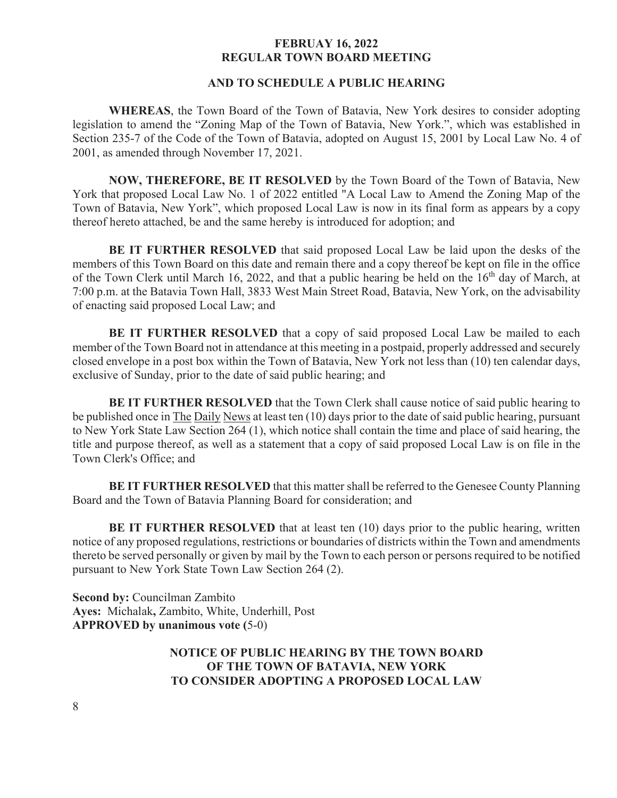## **AND TO SCHEDULE A PUBLIC HEARING**

**WHEREAS**, the Town Board of the Town of Batavia, New York desires to consider adopting legislation to amend the "Zoning Map of the Town of Batavia, New York.", which was established in Section 235-7 of the Code of the Town of Batavia, adopted on August 15, 2001 by Local Law No. 4 of 2001, as amended through November 17, 2021.

**NOW, THEREFORE, BE IT RESOLVED** by the Town Board of the Town of Batavia, New York that proposed Local Law No. 1 of 2022 entitled "A Local Law to Amend the Zoning Map of the Town of Batavia, New York", which proposed Local Law is now in its final form as appears by a copy thereof hereto attached, be and the same hereby is introduced for adoption; and

**BE IT FURTHER RESOLVED** that said proposed Local Law be laid upon the desks of the members of this Town Board on this date and remain there and a copy thereof be kept on file in the office of the Town Clerk until March 16, 2022, and that a public hearing be held on the 16<sup>th</sup> day of March, at 7:00 p.m. at the Batavia Town Hall, 3833 West Main Street Road, Batavia, New York, on the advisability of enacting said proposed Local Law; and

**BE IT FURTHER RESOLVED** that a copy of said proposed Local Law be mailed to each member of the Town Board not in attendance at this meeting in a postpaid, properly addressed and securely closed envelope in a post box within the Town of Batavia, New York not less than (10) ten calendar days, exclusive of Sunday, prior to the date of said public hearing; and

**BE IT FURTHER RESOLVED** that the Town Clerk shall cause notice of said public hearing to be published once in The Daily News at least ten (10) days prior to the date of said public hearing, pursuant to New York State Law Section 264 (1), which notice shall contain the time and place of said hearing, the title and purpose thereof, as well as a statement that a copy of said proposed Local Law is on file in the Town Clerk's Office; and

**BE IT FURTHER RESOLVED** that this matter shall be referred to the Genesee County Planning Board and the Town of Batavia Planning Board for consideration; and

**BE IT FURTHER RESOLVED** that at least ten (10) days prior to the public hearing, written notice of any proposed regulations, restrictions or boundaries of districts within the Town and amendments thereto be served personally or given by mail by the Town to each person or persons required to be notified pursuant to New York State Town Law Section 264 (2).

**Second by:** Councilman Zambito **Ayes:** Michalak**,** Zambito, White, Underhill, Post **APPROVED by unanimous vote (**5-0)

## **NOTICE OF PUBLIC HEARING BY THE TOWN BOARD OF THE TOWN OF BATAVIA, NEW YORK TO CONSIDER ADOPTING A PROPOSED LOCAL LAW**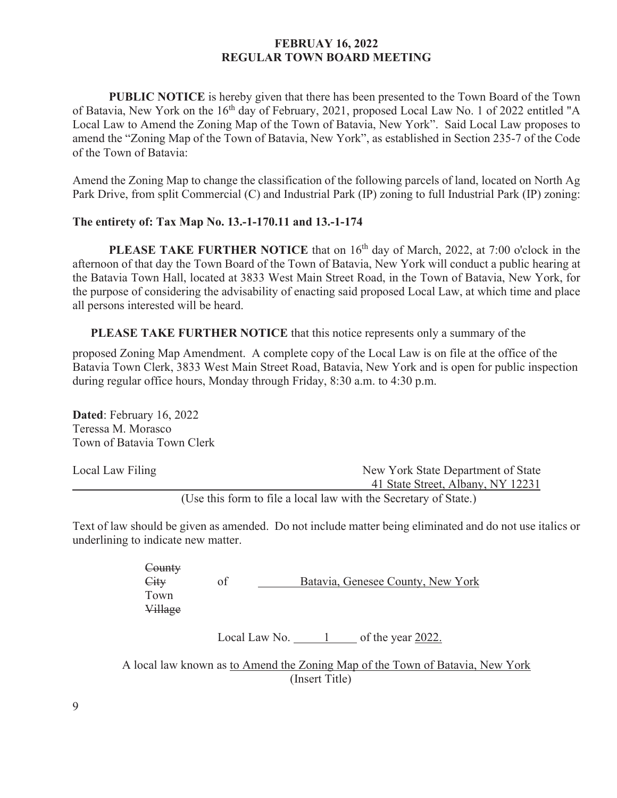**PUBLIC NOTICE** is hereby given that there has been presented to the Town Board of the Town of Batavia, New York on the 16<sup>th</sup> day of February, 2021, proposed Local Law No. 1 of 2022 entitled "A Local Law to Amend the Zoning Map of the Town of Batavia, New York". Said Local Law proposes to amend the "Zoning Map of the Town of Batavia, New York", as established in Section 235-7 of the Code of the Town of Batavia:

Amend the Zoning Map to change the classification of the following parcels of land, located on North Ag Park Drive, from split Commercial (C) and Industrial Park (IP) zoning to full Industrial Park (IP) zoning:

#### **The entirety of: Tax Map No. 13.-1-170.11 and 13.-1-174**

**PLEASE TAKE FURTHER NOTICE** that on 16<sup>th</sup> day of March, 2022, at 7:00 o'clock in the afternoon of that day the Town Board of the Town of Batavia, New York will conduct a public hearing at the Batavia Town Hall, located at 3833 West Main Street Road, in the Town of Batavia, New York, for the purpose of considering the advisability of enacting said proposed Local Law, at which time and place all persons interested will be heard.

**PLEASE TAKE FURTHER NOTICE** that this notice represents only a summary of the

proposed Zoning Map Amendment. A complete copy of the Local Law is on file at the office of the Batavia Town Clerk, 3833 West Main Street Road, Batavia, New York and is open for public inspection during regular office hours, Monday through Friday, 8:30 a.m. to 4:30 p.m.

**Dated**: February 16, 2022 Teressa M. Morasco Town of Batavia Town Clerk

| Local Law Filing | New York State Department of State                               |
|------------------|------------------------------------------------------------------|
|                  | 41 State Street, Albany, NY 12231                                |
|                  | (Use this form to file a local law with the Secretary of State.) |

Text of law should be given as amended. Do not include matter being eliminated and do not use italics or underlining to indicate new matter.

| County  |                                   |
|---------|-----------------------------------|
| Citv    | Batavia, Genesee County, New York |
| Town    |                                   |
| Village |                                   |

Local Law No. 1 of the year 2022.

A local law known as to Amend the Zoning Map of the Town of Batavia, New York (Insert Title)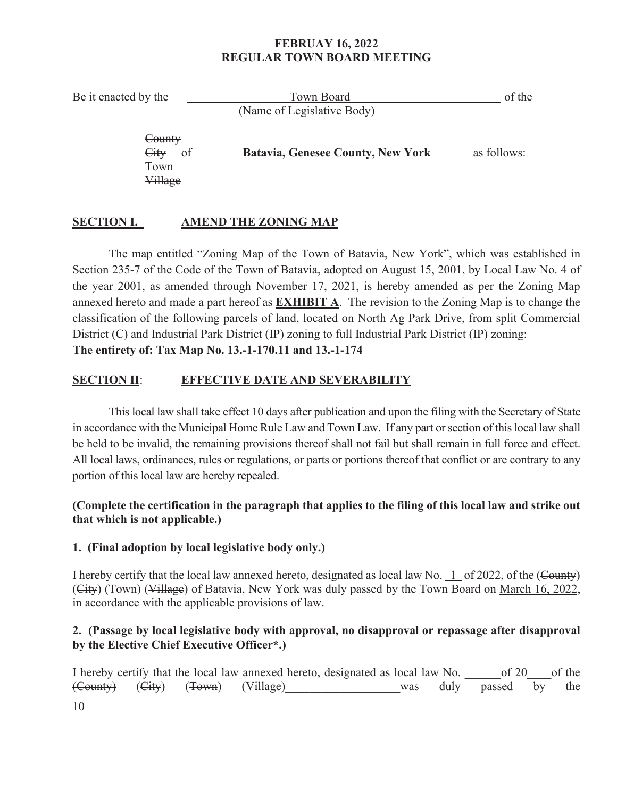Be it enacted by the Town Board Communication of the Town Board of the Town Board of the Second Library of the Town Board of the Second Library of the Second Library of the Second Library of the Second Library of the Secon (Name of Legislative Body) **County**  City of **Batavia, Genesee County, New York** as follows: Town

# **SECTION I. AMEND THE ZONING MAP**

Village

 The map entitled "Zoning Map of the Town of Batavia, New York", which was established in Section 235-7 of the Code of the Town of Batavia, adopted on August 15, 2001, by Local Law No. 4 of the year 2001, as amended through November 17, 2021, is hereby amended as per the Zoning Map annexed hereto and made a part hereof as **EXHIBIT A**. The revision to the Zoning Map is to change the classification of the following parcels of land, located on North Ag Park Drive, from split Commercial District (C) and Industrial Park District (IP) zoning to full Industrial Park District (IP) zoning: **The entirety of: Tax Map No. 13.-1-170.11 and 13.-1-174** 

# **SECTION II**: **EFFECTIVE DATE AND SEVERABILITY**

This local law shall take effect 10 days after publication and upon the filing with the Secretary of State in accordance with the Municipal Home Rule Law and Town Law. If any part or section of this local law shall be held to be invalid, the remaining provisions thereof shall not fail but shall remain in full force and effect. All local laws, ordinances, rules or regulations, or parts or portions thereof that conflict or are contrary to any portion of this local law are hereby repealed.

# **(Complete the certification in the paragraph that applies to the filing of this local law and strike out that which is not applicable.)**

# **1. (Final adoption by local legislative body only.)**

I hereby certify that the local law annexed hereto, designated as local law No. 1 of 2022, of the (County) (City) (Town) (Village) of Batavia, New York was duly passed by the Town Board on March 16, 2022, in accordance with the applicable provisions of law.

# **2. (Passage by local legislative body with approval, no disapproval or repassage after disapproval by the Elective Chief Executive Officer\*.)**

I hereby certify that the local law annexed hereto, designated as local law No.  $\qquad \qquad$  of 20  $\qquad$  of the (County) (City) (Town) (Village) was duly passed by the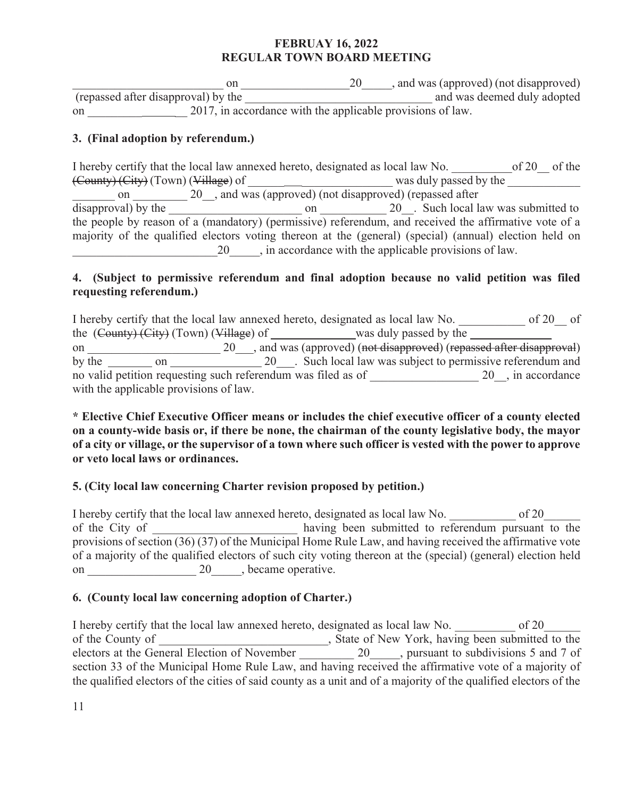$\begin{equation} \begin{array}{c}\n\text{on } \underline{\hspace{1cm}}\text{on } \underline{\hspace{1cm}}\text{on} \underline{\hspace{1cm}}\text{on} \underline{\hspace{1cm}}\text{on} \underline{\hspace{1cm}}\text{on} \underline{\hspace{1cm}}\text{on} \underline{\hspace{1cm}}\text{on} \underline{\hspace{1cm}}\text{on} \underline{\hspace{1cm}}\text{on} \underline{\hspace{1cm}}\text{on} \underline{\hspace{1cm}}\text{on} \underline{\hspace{1cm}}\text{on} \underline{\hspace{1cm}}\text{on} \underline{\hspace{1cm}}\text{on} \underline{\hspace$  (repassed after disapproval) by the \_\_\_\_\_\_\_\_\_\_\_\_\_\_\_\_\_\_\_\_\_\_\_\_\_\_\_\_\_\_\_ and was deemed duly adopted on 2017, in accordance with the applicable provisions of law.

# **3. (Final adoption by referendum.)**

I hereby certify that the local law annexed hereto, designated as local law No.  $\qquad \qquad$  of 20  $\qquad$  of the (County) (City) (Town) (Village) of \_\_\_\_\_\_ \_\_\_\_\_\_\_\_\_\_\_\_\_\_\_ was duly passed by the \_\_\_\_\_\_\_\_\_\_\_\_ on 20 and was (approved) (not disapproved) (repassed after disapproval) by the \_\_\_\_\_\_\_\_\_\_\_\_\_\_\_\_\_\_\_\_\_\_ on \_\_\_\_\_\_\_\_\_\_\_ 20\_\_. Such local law was submitted to the people by reason of a (mandatory) (permissive) referendum, and received the affirmative vote of a majority of the qualified electors voting thereon at the (general) (special) (annual) election held on \_\_\_\_\_\_\_\_\_\_\_\_\_\_\_\_\_\_\_\_\_\_\_\_20\_\_\_\_\_, in accordance with the applicable provisions of law.

## **4. (Subject to permissive referendum and final adoption because no valid petition was filed requesting referendum.)**

I hereby certify that the local law annexed hereto, designated as local law No.  $\qquad \qquad$  of 20  $\qquad$  of the  $(County) (City) (Town) (Village) of$  was duly passed by the  $\Box$ on \_\_\_\_\_\_\_\_\_\_\_\_\_\_\_\_\_\_\_\_\_\_\_\_\_\_ 20\_\_\_, and was (approved) (not disapproved) (repassed after disapproval) by the on 20\_\_\_. Such local law was subject to permissive referendum and no valid petition requesting such referendum was filed as of  $20$ , in accordance with the applicable provisions of law.

## **\* Elective Chief Executive Officer means or includes the chief executive officer of a county elected on a county-wide basis or, if there be none, the chairman of the county legislative body, the mayor of a city or village, or the supervisor of a town where such officer is vested with the power to approve or veto local laws or ordinances.**

# **5. (City local law concerning Charter revision proposed by petition.)**

I hereby certify that the local law annexed hereto, designated as local law No.  $\qquad \qquad$  of 20 of the City of **EXECUTE:** having been submitted to referendum pursuant to the provisions of section (36) (37) of the Municipal Home Rule Law, and having received the affirmative vote of a majority of the qualified electors of such city voting thereon at the (special) (general) election held on \_\_\_\_\_\_\_\_\_\_\_\_\_\_\_\_\_\_ 20\_\_\_\_\_, became operative.

## **6. (County local law concerning adoption of Charter.)**

I hereby certify that the local law annexed hereto, designated as local law No.  $\qquad \qquad$  of 20 of the County of \_\_\_\_\_\_\_\_\_\_\_\_\_\_\_\_\_\_\_\_\_\_\_\_\_, State of New York, having been submitted to the electors at the General Election of November 20 quite pursuant to subdivisions 5 and 7 of section 33 of the Municipal Home Rule Law, and having received the affirmative vote of a majority of the qualified electors of the cities of said county as a unit and of a majority of the qualified electors of the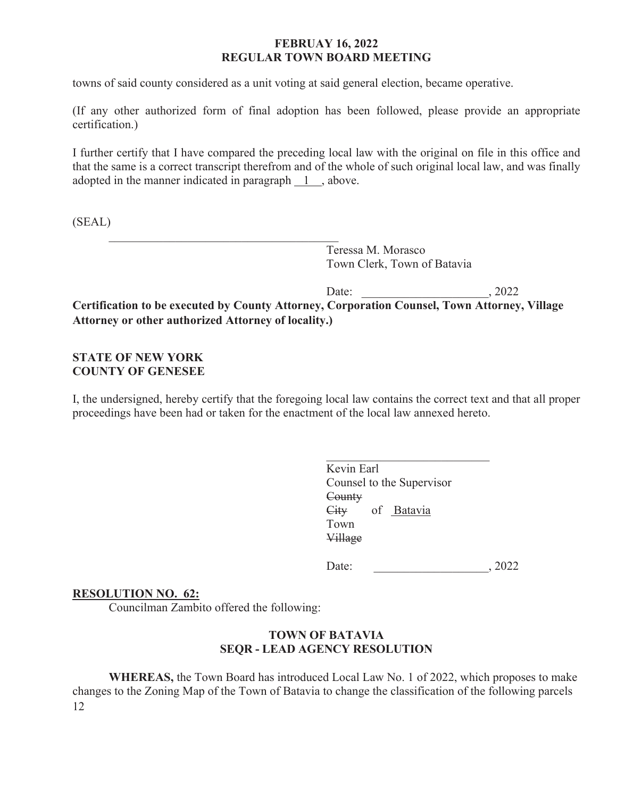towns of said county considered as a unit voting at said general election, became operative.

(If any other authorized form of final adoption has been followed, please provide an appropriate certification.)

I further certify that I have compared the preceding local law with the original on file in this office and that the same is a correct transcript therefrom and of the whole of such original local law, and was finally adopted in the manner indicated in paragraph  $\boxed{1}$ , above.

(SEAL)

Teressa M. Morasco Town Clerk, Town of Batavia

Date: , 2022 **Certification to be executed by County Attorney, Corporation Counsel, Town Attorney, Village Attorney or other authorized Attorney of locality.)** 

# **STATE OF NEW YORK COUNTY OF GENESEE**

I, the undersigned, hereby certify that the foregoing local law contains the correct text and that all proper proceedings have been had or taken for the enactment of the local law annexed hereto.

 Kevin Earl Counsel to the Supervisor **County**  City of Batavia Town Town Village

Date: \_\_\_\_\_\_\_\_\_\_\_\_\_\_\_\_\_\_\_, 2022

## **RESOLUTION NO. 62:**

Councilman Zambito offered the following:

 $\mathcal{L}_\text{max} = \frac{1}{2} \sum_{i=1}^{n} \frac{1}{2} \sum_{i=1}^{n} \frac{1}{2} \sum_{i=1}^{n} \frac{1}{2} \sum_{i=1}^{n} \frac{1}{2} \sum_{i=1}^{n} \frac{1}{2} \sum_{i=1}^{n} \frac{1}{2} \sum_{i=1}^{n} \frac{1}{2} \sum_{i=1}^{n} \frac{1}{2} \sum_{i=1}^{n} \frac{1}{2} \sum_{i=1}^{n} \frac{1}{2} \sum_{i=1}^{n} \frac{1}{2} \sum_{i=1}^{n} \frac{1$ 

## **TOWN OF BATAVIA SEQR - LEAD AGENCY RESOLUTION**

12 **WHEREAS,** the Town Board has introduced Local Law No. 1 of 2022, which proposes to make changes to the Zoning Map of the Town of Batavia to change the classification of the following parcels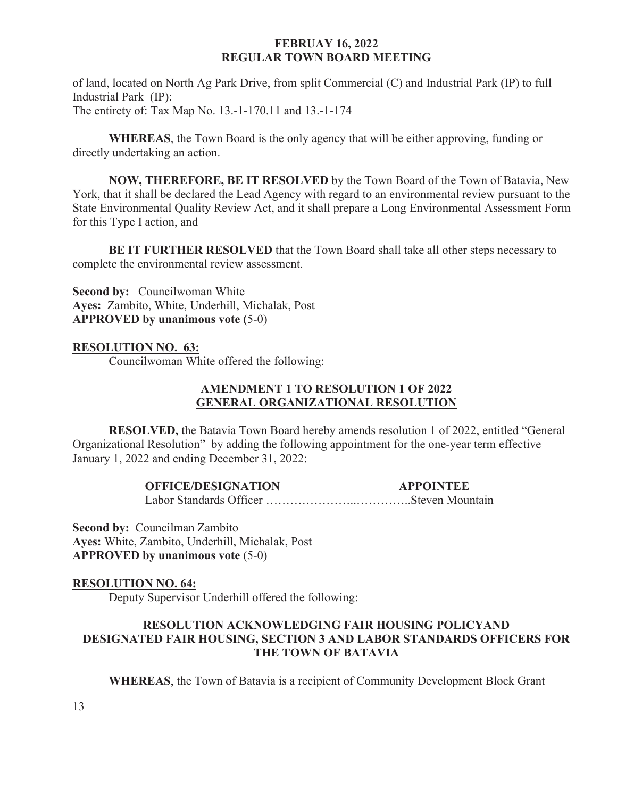of land, located on North Ag Park Drive, from split Commercial (C) and Industrial Park (IP) to full Industrial Park (IP): The entirety of: Tax Map No. 13.-1-170.11 and 13.-1-174

**WHEREAS**, the Town Board is the only agency that will be either approving, funding or directly undertaking an action.

**NOW, THEREFORE, BE IT RESOLVED** by the Town Board of the Town of Batavia, New York, that it shall be declared the Lead Agency with regard to an environmental review pursuant to the State Environmental Quality Review Act, and it shall prepare a Long Environmental Assessment Form for this Type I action, and

**BE IT FURTHER RESOLVED** that the Town Board shall take all other steps necessary to complete the environmental review assessment.

**Second by:** Councilwoman White **Ayes:** Zambito, White, Underhill, Michalak, Post **APPROVED by unanimous vote (**5-0)

## **RESOLUTION NO. 63:**

Councilwoman White offered the following:

## **AMENDMENT 1 TO RESOLUTION 1 OF 2022 GENERAL ORGANIZATIONAL RESOLUTION**

**RESOLVED,** the Batavia Town Board hereby amends resolution 1 of 2022, entitled "General Organizational Resolution" by adding the following appointment for the one-year term effective January 1, 2022 and ending December 31, 2022:

## **OFFICE/DESIGNATION APPOINTEE**

Labor Standards Officer …………………..…………..Steven Mountain

**Second by:** Councilman Zambito **Ayes:** White, Zambito, Underhill, Michalak, Post **APPROVED by unanimous vote** (5-0)

## **RESOLUTION NO. 64:**

Deputy Supervisor Underhill offered the following:

# **RESOLUTION ACKNOWLEDGING FAIR HOUSING POLICYAND DESIGNATED FAIR HOUSING, SECTION 3 AND LABOR STANDARDS OFFICERS FOR THE TOWN OF BATAVIA**

**WHEREAS**, the Town of Batavia is a recipient of Community Development Block Grant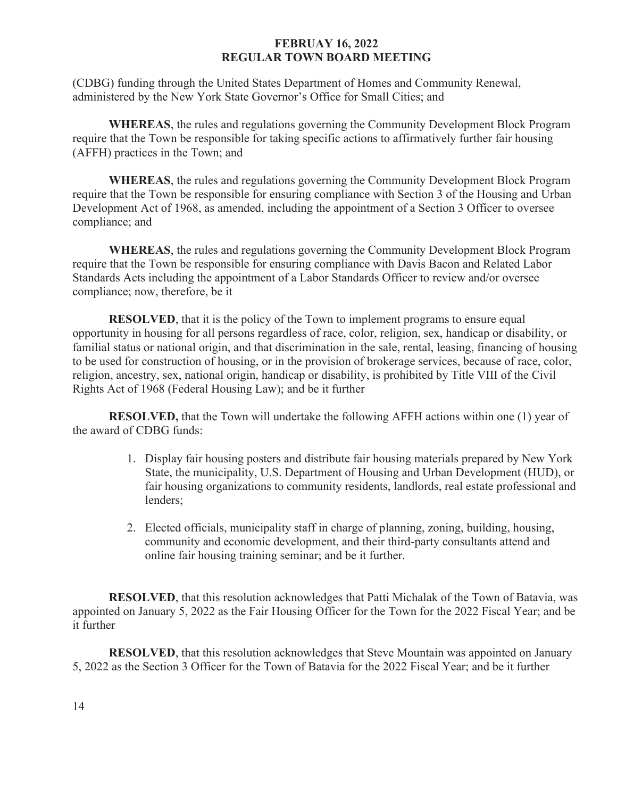(CDBG) funding through the United States Department of Homes and Community Renewal, administered by the New York State Governor's Office for Small Cities; and

**WHEREAS**, the rules and regulations governing the Community Development Block Program require that the Town be responsible for taking specific actions to affirmatively further fair housing (AFFH) practices in the Town; and

**WHEREAS**, the rules and regulations governing the Community Development Block Program require that the Town be responsible for ensuring compliance with Section 3 of the Housing and Urban Development Act of 1968, as amended, including the appointment of a Section 3 Officer to oversee compliance; and

**WHEREAS**, the rules and regulations governing the Community Development Block Program require that the Town be responsible for ensuring compliance with Davis Bacon and Related Labor Standards Acts including the appointment of a Labor Standards Officer to review and/or oversee compliance; now, therefore, be it

**RESOLVED**, that it is the policy of the Town to implement programs to ensure equal opportunity in housing for all persons regardless of race, color, religion, sex, handicap or disability, or familial status or national origin, and that discrimination in the sale, rental, leasing, financing of housing to be used for construction of housing, or in the provision of brokerage services, because of race, color, religion, ancestry, sex, national origin, handicap or disability, is prohibited by Title VIII of the Civil Rights Act of 1968 (Federal Housing Law); and be it further

**RESOLVED,** that the Town will undertake the following AFFH actions within one (1) year of the award of CDBG funds:

- 1. Display fair housing posters and distribute fair housing materials prepared by New York State, the municipality, U.S. Department of Housing and Urban Development (HUD), or fair housing organizations to community residents, landlords, real estate professional and lenders;
- 2. Elected officials, municipality staff in charge of planning, zoning, building, housing, community and economic development, and their third-party consultants attend and online fair housing training seminar; and be it further.

**RESOLVED**, that this resolution acknowledges that Patti Michalak of the Town of Batavia, was appointed on January 5, 2022 as the Fair Housing Officer for the Town for the 2022 Fiscal Year; and be it further

**RESOLVED**, that this resolution acknowledges that Steve Mountain was appointed on January 5, 2022 as the Section 3 Officer for the Town of Batavia for the 2022 Fiscal Year; and be it further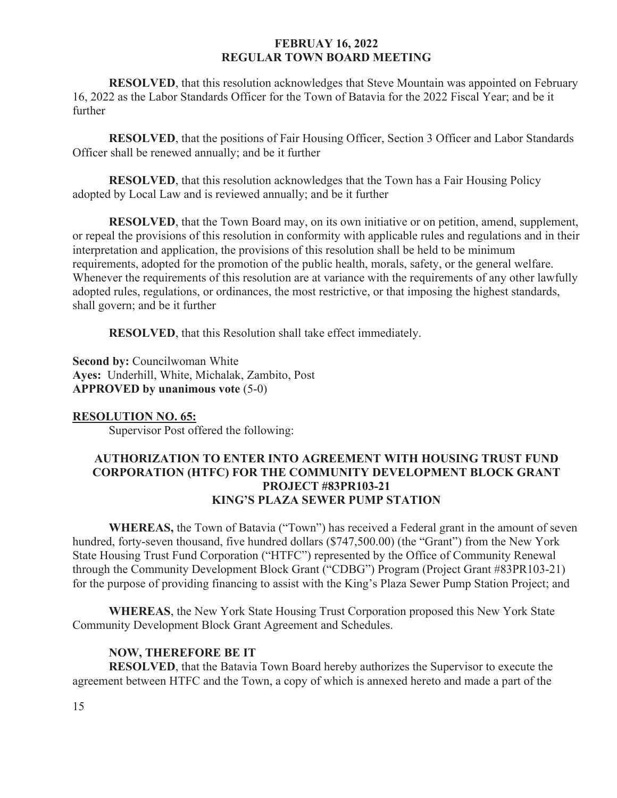**RESOLVED**, that this resolution acknowledges that Steve Mountain was appointed on February 16, 2022 as the Labor Standards Officer for the Town of Batavia for the 2022 Fiscal Year; and be it further

**RESOLVED**, that the positions of Fair Housing Officer, Section 3 Officer and Labor Standards Officer shall be renewed annually; and be it further

**RESOLVED**, that this resolution acknowledges that the Town has a Fair Housing Policy adopted by Local Law and is reviewed annually; and be it further

**RESOLVED**, that the Town Board may, on its own initiative or on petition, amend, supplement, or repeal the provisions of this resolution in conformity with applicable rules and regulations and in their interpretation and application, the provisions of this resolution shall be held to be minimum requirements, adopted for the promotion of the public health, morals, safety, or the general welfare. Whenever the requirements of this resolution are at variance with the requirements of any other lawfully adopted rules, regulations, or ordinances, the most restrictive, or that imposing the highest standards, shall govern; and be it further

**RESOLVED**, that this Resolution shall take effect immediately.

**Second by: Councilwoman White Ayes:** Underhill, White, Michalak, Zambito, Post **APPROVED by unanimous vote** (5-0)

#### **RESOLUTION NO. 65:**

Supervisor Post offered the following:

## **AUTHORIZATION TO ENTER INTO AGREEMENT WITH HOUSING TRUST FUND CORPORATION (HTFC) FOR THE COMMUNITY DEVELOPMENT BLOCK GRANT PROJECT #83PR103-21 KING'S PLAZA SEWER PUMP STATION**

 **WHEREAS,** the Town of Batavia ("Town") has received a Federal grant in the amount of seven hundred, forty-seven thousand, five hundred dollars (\$747,500.00) (the "Grant") from the New York State Housing Trust Fund Corporation ("HTFC") represented by the Office of Community Renewal through the Community Development Block Grant ("CDBG") Program (Project Grant #83PR103-21) for the purpose of providing financing to assist with the King's Plaza Sewer Pump Station Project; and

**WHEREAS**, the New York State Housing Trust Corporation proposed this New York State Community Development Block Grant Agreement and Schedules.

## **NOW, THEREFORE BE IT**

**RESOLVED**, that the Batavia Town Board hereby authorizes the Supervisor to execute the agreement between HTFC and the Town, a copy of which is annexed hereto and made a part of the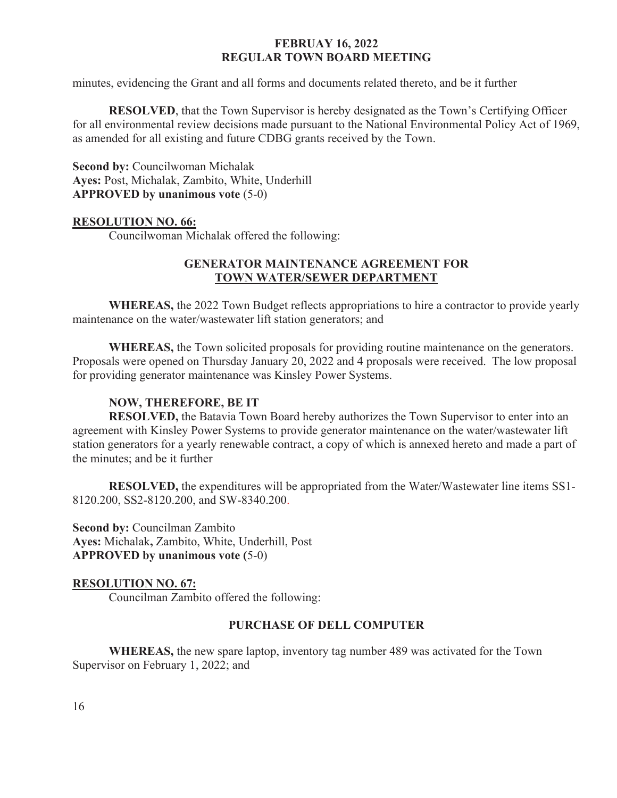minutes, evidencing the Grant and all forms and documents related thereto, and be it further

**RESOLVED**, that the Town Supervisor is hereby designated as the Town's Certifying Officer for all environmental review decisions made pursuant to the National Environmental Policy Act of 1969, as amended for all existing and future CDBG grants received by the Town.

**Second by:** Councilwoman Michalak **Ayes:** Post, Michalak, Zambito, White, Underhill **APPROVED by unanimous vote** (5-0)

#### **RESOLUTION NO. 66:**

Councilwoman Michalak offered the following:

#### **GENERATOR MAINTENANCE AGREEMENT FOR TOWN WATER/SEWER DEPARTMENT**

**WHEREAS,** the 2022 Town Budget reflects appropriations to hire a contractor to provide yearly maintenance on the water/wastewater lift station generators; and

**WHEREAS,** the Town solicited proposals for providing routine maintenance on the generators. Proposals were opened on Thursday January 20, 2022 and 4 proposals were received.The low proposal for providing generator maintenance was Kinsley Power Systems.

## **NOW, THEREFORE, BE IT**

**RESOLVED,** the Batavia Town Board hereby authorizes the Town Supervisor to enter into an agreement with Kinsley Power Systems to provide generator maintenance on the water/wastewater lift station generators for a yearly renewable contract, a copy of which is annexed hereto and made a part of the minutes; and be it further

**RESOLVED,** the expenditures will be appropriated from the Water/Wastewater line items SS1- 8120.200, SS2-8120.200, and SW-8340.200.

**Second by:** Councilman Zambito **Ayes:** Michalak**,** Zambito, White, Underhill, Post **APPROVED by unanimous vote (**5-0)

#### **RESOLUTION NO. 67:**

Councilman Zambito offered the following:

#### **PURCHASE OF DELL COMPUTER**

**WHEREAS,** the new spare laptop, inventory tag number 489 was activated for the Town Supervisor on February 1, 2022; and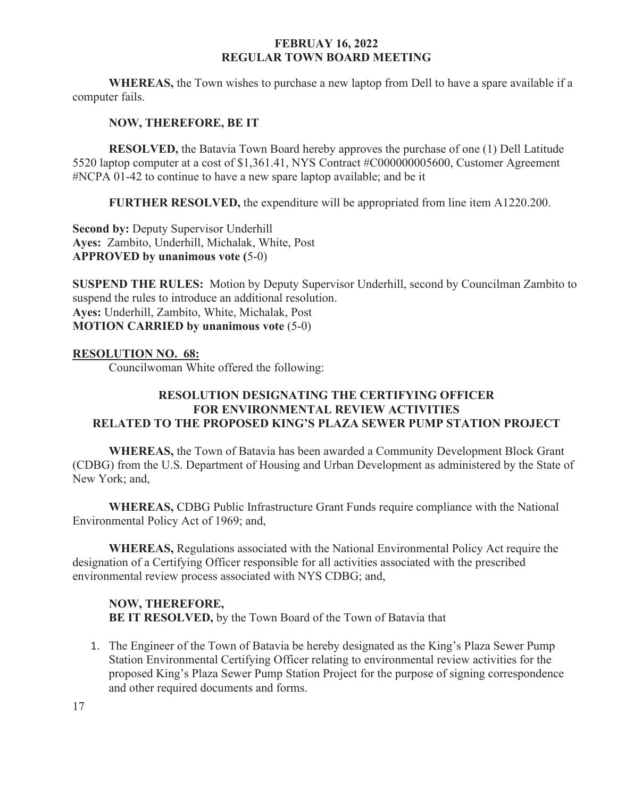**WHEREAS,** the Town wishes to purchase a new laptop from Dell to have a spare available if a computer fails.

## **NOW, THEREFORE, BE IT**

**RESOLVED,** the Batavia Town Board hereby approves the purchase of one (1) Dell Latitude 5520 laptop computer at a cost of \$1,361.41, NYS Contract #C000000005600, Customer Agreement #NCPA 01-42 to continue to have a new spare laptop available; and be it

**FURTHER RESOLVED,** the expenditure will be appropriated from line item A1220.200.

**Second by: Deputy Supervisor Underhill Ayes:** Zambito, Underhill, Michalak, White, Post **APPROVED by unanimous vote (**5-0)

**SUSPEND THE RULES:** Motion by Deputy Supervisor Underhill, second by Councilman Zambito to suspend the rules to introduce an additional resolution. **Ayes:** Underhill, Zambito, White, Michalak, Post **MOTION CARRIED by unanimous vote** (5-0)

## **RESOLUTION NO. 68:**

Councilwoman White offered the following:

## **RESOLUTION DESIGNATING THE CERTIFYING OFFICER FOR ENVIRONMENTAL REVIEW ACTIVITIES RELATED TO THE PROPOSED KING'S PLAZA SEWER PUMP STATION PROJECT**

**WHEREAS,** the Town of Batavia has been awarded a Community Development Block Grant (CDBG) from the U.S. Department of Housing and Urban Development as administered by the State of New York; and,

**WHEREAS,** CDBG Public Infrastructure Grant Funds require compliance with the National Environmental Policy Act of 1969; and,

**WHEREAS,** Regulations associated with the National Environmental Policy Act require the designation of a Certifying Officer responsible for all activities associated with the prescribed environmental review process associated with NYS CDBG; and,

## **NOW, THEREFORE, BE IT RESOLVED,** by the Town Board of the Town of Batavia that

1. The Engineer of the Town of Batavia be hereby designated as the King's Plaza Sewer Pump Station Environmental Certifying Officer relating to environmental review activities for the proposed King's Plaza Sewer Pump Station Project for the purpose of signing correspondence and other required documents and forms.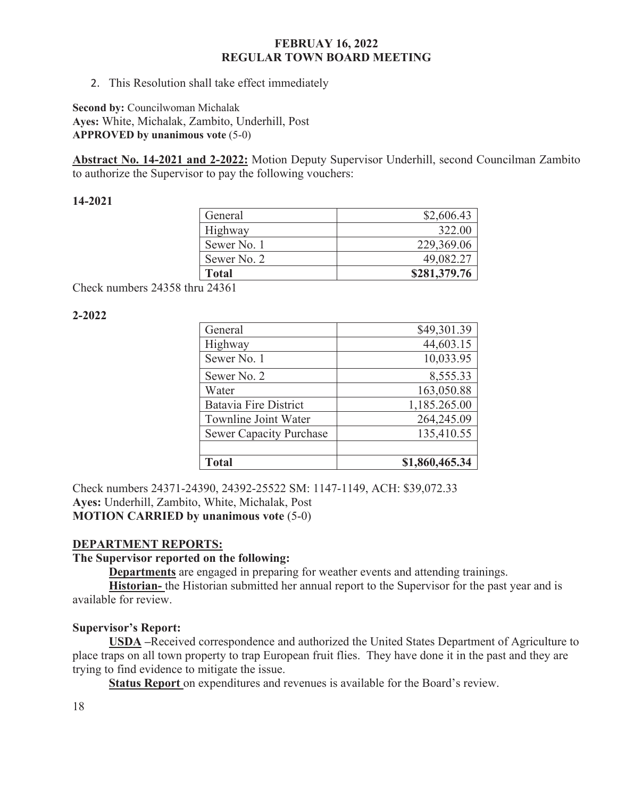2. This Resolution shall take effect immediately

**Second by:** Councilwoman Michalak **Ayes:** White, Michalak, Zambito, Underhill, Post **APPROVED by unanimous vote** (5-0)

**Abstract No. 14-2021 and 2-2022:** Motion Deputy Supervisor Underhill, second Councilman Zambito to authorize the Supervisor to pay the following vouchers:

#### **14-2021**

| General      | \$2,606.43   |
|--------------|--------------|
| Highway      | 322.00       |
| Sewer No. 1  | 229,369.06   |
| Sewer No. 2  | 49,082.27    |
| <b>Total</b> | \$281,379.76 |

Check numbers 24358 thru 24361

## **2-2022**

| General                        | \$49,301.39    |
|--------------------------------|----------------|
| Highway                        | 44,603.15      |
| Sewer No. 1                    | 10,033.95      |
| Sewer No. 2                    | 8,555.33       |
| Water                          | 163,050.88     |
| <b>Batavia Fire District</b>   | 1,185.265.00   |
| Townline Joint Water           | 264,245.09     |
| <b>Sewer Capacity Purchase</b> | 135,410.55     |
|                                |                |
| <b>Total</b>                   | \$1,860,465.34 |

Check numbers 24371-24390, 24392-25522 SM: 1147-1149, ACH: \$39,072.33 **Ayes:** Underhill, Zambito, White, Michalak, Post **MOTION CARRIED by unanimous vote** (5-0)

## **DEPARTMENT REPORTS:**

## **The Supervisor reported on the following:**

**Departments** are engaged in preparing for weather events and attending trainings.

**Historian-** the Historian submitted her annual report to the Supervisor for the past year and is available for review.

## **Supervisor's Report:**

 **USDA –**Received correspondence and authorized the United States Department of Agriculture to place traps on all town property to trap European fruit flies. They have done it in the past and they are trying to find evidence to mitigate the issue.

**Status Report** on expenditures and revenues is available for the Board's review.